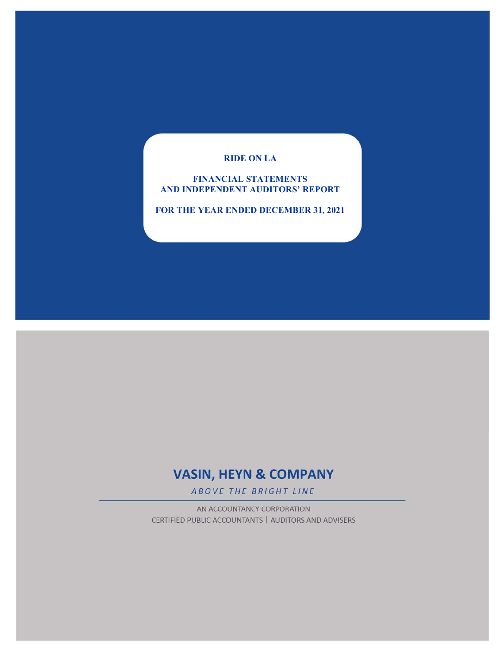# RIDE ON LA

# FINANCIAL STATEMENTS AND INDEPENDENT AUDITORS' REPORT

FOR THE YEAR ENDED DECEMBER 31, 2021

# **VASIN, HEYN & COMPANY**

ABOVE THE BRIGHT LINE

AN ACCOUNTANCY CORPORATION CERTIFIED PUBLIC ACCOUNTANTS | AUDITORS AND ADVISERS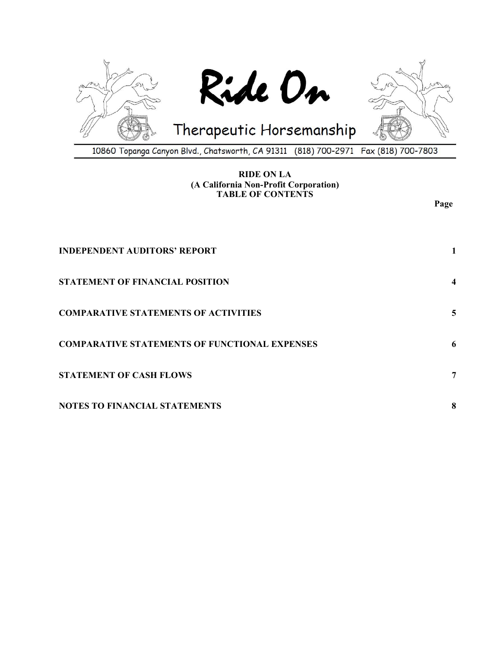

# RIDE ON LA (A California Non-Profit Corporation) TABLE OF CONTENTS

| <b>INDEPENDENT AUDITORS' REPORT</b>                  |                  |
|------------------------------------------------------|------------------|
| <b>STATEMENT OF FINANCIAL POSITION</b>               | $\boldsymbol{4}$ |
| <b>COMPARATIVE STATEMENTS OF ACTIVITIES</b>          | 5                |
| <b>COMPARATIVE STATEMENTS OF FUNCTIONAL EXPENSES</b> | 6                |
| <b>STATEMENT OF CASH FLOWS</b>                       | 7                |
| <b>NOTES TO FINANCIAL STATEMENTS</b>                 | 8                |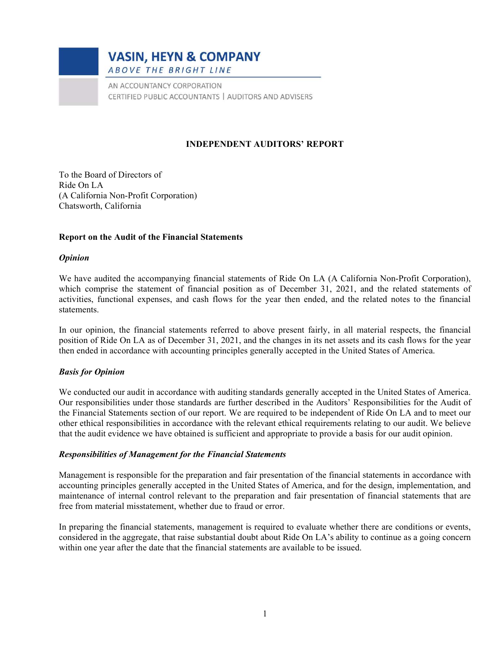# **VASIN, HEYN & COMPANY** ABOVE THE BRIGHT LINE

AN ACCOUNTANCY CORPORATION CERTIFIED PUBLIC ACCOUNTANTS | AUDITORS AND ADVISERS

# INDEPENDENT AUDITORS' REPORT

To the Board of Directors of Ride On LA (A California Non-Profit Corporation) Chatsworth, California

# Report on the Audit of the Financial Statements

#### **Opinion**

We have audited the accompanying financial statements of Ride On LA (A California Non-Profit Corporation), which comprise the statement of financial position as of December 31, 2021, and the related statements of activities, functional expenses, and cash flows for the year then ended, and the related notes to the financial statements.

In our opinion, the financial statements referred to above present fairly, in all material respects, the financial position of Ride On LA as of December 31, 2021, and the changes in its net assets and its cash flows for the year then ended in accordance with accounting principles generally accepted in the United States of America.

# Basis for Opinion

We conducted our audit in accordance with auditing standards generally accepted in the United States of America. Our responsibilities under those standards are further described in the Auditors' Responsibilities for the Audit of the Financial Statements section of our report. We are required to be independent of Ride On LA and to meet our other ethical responsibilities in accordance with the relevant ethical requirements relating to our audit. We believe that the audit evidence we have obtained is sufficient and appropriate to provide a basis for our audit opinion.

## Responsibilities of Management for the Financial Statements

Management is responsible for the preparation and fair presentation of the financial statements in accordance with accounting principles generally accepted in the United States of America, and for the design, implementation, and maintenance of internal control relevant to the preparation and fair presentation of financial statements that are free from material misstatement, whether due to fraud or error.

In preparing the financial statements, management is required to evaluate whether there are conditions or events, considered in the aggregate, that raise substantial doubt about Ride On LA's ability to continue as a going concern within one year after the date that the financial statements are available to be issued.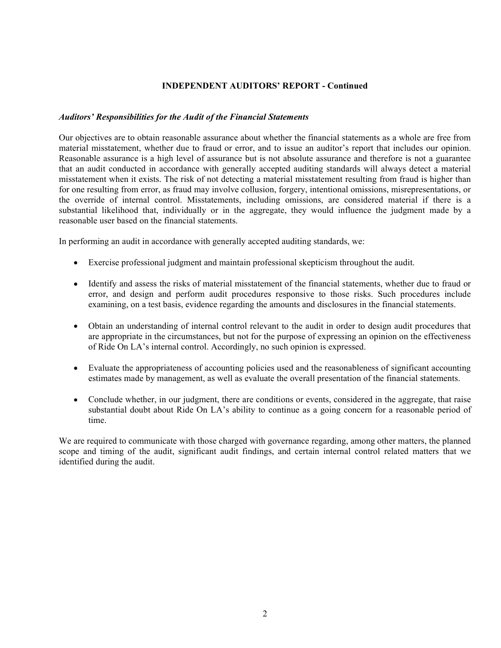# INDEPENDENT AUDITORS REPORT - Continued

# Auditors' Responsibilities for the Audit of the Financial Statements

Our objectives are to obtain reasonable assurance about whether the financial statements as a whole are free from material misstatement, whether due to fraud or error, and to issue an auditor's report that includes our opinion. Reasonable assurance is a high level of assurance but is not absolute assurance and therefore is not a guarantee that an audit conducted in accordance with generally accepted auditing standards will always detect a material misstatement when it exists. The risk of not detecting a material misstatement resulting from fraud is higher than for one resulting from error, as fraud may involve collusion, forgery, intentional omissions, misrepresentations, or the override of internal control. Misstatements, including omissions, are considered material if there is a substantial likelihood that, individually or in the aggregate, they would influence the judgment made by a reasonable user based on the financial statements.

In performing an audit in accordance with generally accepted auditing standards, we:

- Exercise professional judgment and maintain professional skepticism throughout the audit.
- Identify and assess the risks of material misstatement of the financial statements, whether due to fraud or error, and design and perform audit procedures responsive to those risks. Such procedures include examining, on a test basis, evidence regarding the amounts and disclosures in the financial statements.
- Obtain an understanding of internal control relevant to the audit in order to design audit procedures that  $\bullet$ are appropriate in the circumstances, but not for the purpose of expressing an opinion on the effectiveness of Ride On LA's internal control. Accordingly, no such opinion is expressed.
- Evaluate the appropriateness of accounting policies used and the reasonableness of significant accounting estimates made by management, as well as evaluate the overall presentation of the financial statements.
- Conclude whether, in our judgment, there are conditions or events, considered in the aggregate, that raise substantial doubt about Ride On LA's ability to continue as a going concern for a reasonable period of time.

We are required to communicate with those charged with governance regarding, among other matters, the planned scope and timing of the audit, significant audit findings, and certain internal control related matters that we identified during the audit.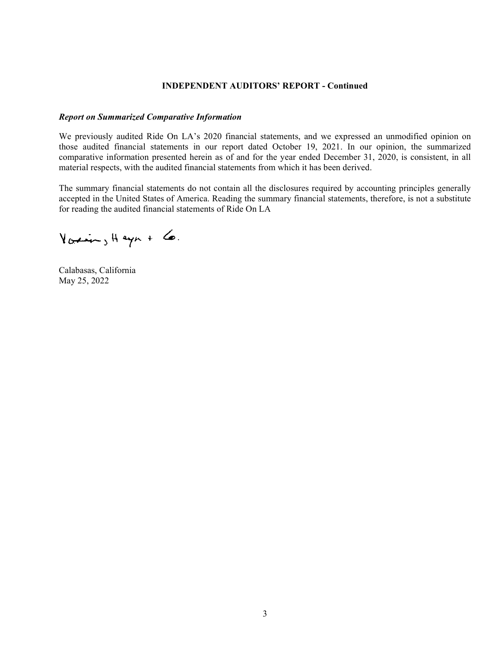#### INDEPENDENT AUDITORS REPORT - Continued

#### Report on Summarized Comparative Information

We previously audited Ride On LA's 2020 financial statements, and we expressed an unmodified opinion on those audited financial statements in our report dated October 19, 2021. In our opinion, the summarized comparative information presented herein as of and for the year ended December 31, 2020, is consistent, in all material respects, with the audited financial statements from which it has been derived.

The summary financial statements do not contain all the disclosures required by accounting principles generally accepted in the United States of America. Reading the summary financial statements, therefore, is not a substitute for reading the audited financial statements of Ride On LA

 $V_{\alpha\cdots\alpha}$  Hayn + 6.

Calabasas, California May 25, 2022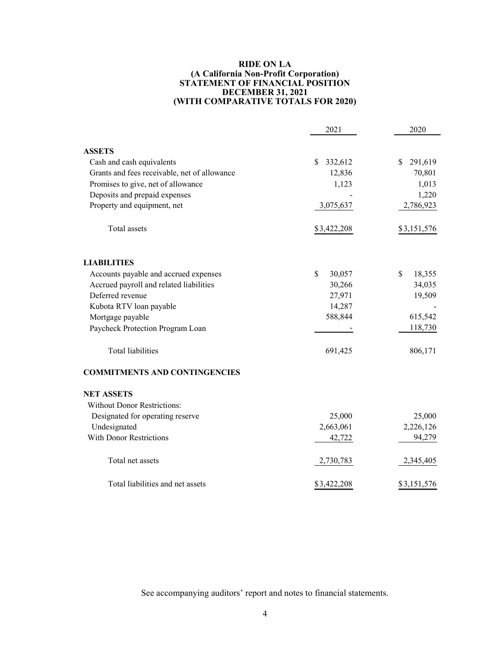#### RIDE ON LA (A California Non-Profit Corporation) STATEMENT OF FINANCIAL POSITION DECEMBER 31, 2021 (WITH COMPARATIVE TOTALS FOR 2020)

|                                                                           | 2021          | 2020          |
|---------------------------------------------------------------------------|---------------|---------------|
| <b>ASSETS</b>                                                             |               |               |
|                                                                           | \$<br>332,612 | \$<br>291,619 |
| Cash and cash equivalents<br>Grants and fees receivable, net of allowance | 12,836        | 70,801        |
| Promises to give, net of allowance                                        | 1,123         | 1,013         |
| Deposits and prepaid expenses                                             |               | 1,220         |
| Property and equipment, net                                               | 3,075,637     | 2,786,923     |
|                                                                           |               |               |
| Total assets                                                              | \$3,422,208   | \$3,151,576   |
| <b>LIABILITIES</b>                                                        |               |               |
| Accounts payable and accrued expenses                                     | \$<br>30,057  | \$<br>18,355  |
| Accrued payroll and related liabilities                                   | 30,266        | 34,035        |
| Deferred revenue                                                          | 27,971        | 19,509        |
| Kubota RTV loan payable                                                   | 14,287        |               |
| Mortgage payable                                                          | 588,844       | 615,542       |
| Paycheck Protection Program Loan                                          |               | 118,730       |
| <b>Total liabilities</b>                                                  | 691,425       | 806,171       |
| <b>COMMITMENTS AND CONTINGENCIES</b>                                      |               |               |
| <b>NET ASSETS</b>                                                         |               |               |
| <b>Without Donor Restrictions:</b>                                        |               |               |
| Designated for operating reserve                                          | 25,000        | 25,000        |
| Undesignated                                                              | 2,663,061     | 2,226,126     |
| <b>With Donor Restrictions</b>                                            | 42,722        | 94,279        |
| Total net assets                                                          | 2,730,783     | 2,345,405     |
| Total liabilities and net assets                                          | \$3,422,208   | \$3,151,576   |

See accompanying auditors' report and notes to financial statements.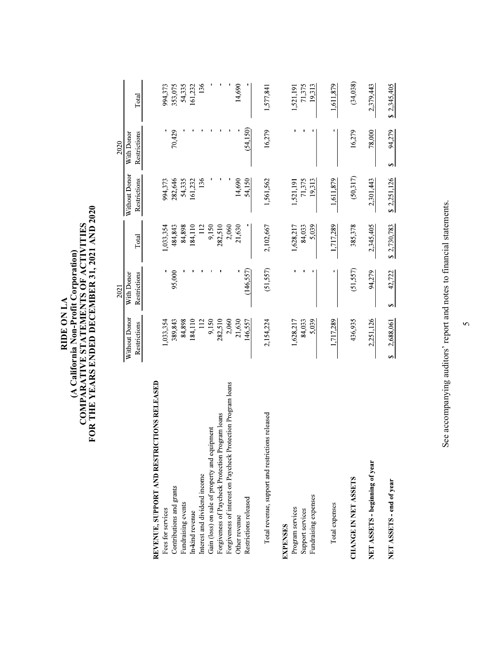|                                                                      |                               | 2021                       |                           |                               | 2020                       |                  |
|----------------------------------------------------------------------|-------------------------------|----------------------------|---------------------------|-------------------------------|----------------------------|------------------|
|                                                                      | Without Donor<br>Restrictions | With Donor<br>Restrictions | Total                     | Without Donor<br>Restrictions | With Donor<br>Restrictions | Total            |
| <b>CTIONS RELEASED</b><br>REVENUE, SUPPORT AND RESTR                 |                               |                            |                           |                               |                            |                  |
| Fees for services                                                    | 1,033,354                     |                            | 1,033,354                 | 994,373                       |                            | 994,373          |
| Contributions and grants                                             | 389,843                       | 95,000                     | 484,843                   | 282,646                       | 70,429                     | 353,075          |
| Fundraising events                                                   | 84,898                        |                            | 84,898                    | 54,335                        |                            | 54,335           |
| Interest and dividend income<br>In-kind revenue                      | 184,110<br>112                |                            | 184,110<br>$\frac{12}{1}$ | 136<br>161,232                |                            | 136<br>161,232   |
| Gain (loss) on sale of property and equipment                        | 9,150                         |                            | 9,150                     |                               |                            |                  |
| Forgiveness of Paycheck Protection Program loans                     | 282,510                       |                            | 282,510                   |                               |                            |                  |
| Forgiveness of interest on Paycheck Protection Program loans         | 2,060                         |                            | 2,060                     |                               |                            |                  |
| Other revenue                                                        | 21,630                        |                            | 21,630                    | 14,690                        |                            | 14,690           |
| Restrictions released                                                | 146,557                       | (146, 557)                 |                           | 54,150                        | (54.150)                   |                  |
| Total revenue, support and restrictions released                     | 2,154,224                     | (51,557)                   | 2,102,667                 | 1,561,562                     | 16,279                     | 1,577,841        |
| <b>EXPENSES</b>                                                      |                               |                            |                           |                               |                            |                  |
| Program services                                                     | 1,628,217                     |                            | 1,628,217                 | 1,521,191                     |                            | 1,521,191        |
| Fundraising expenses<br>Support services                             | 84,033<br>5,039               |                            | 5,039<br>84,033           | 71,375<br>19,313              |                            | 71,375<br>19,313 |
| Total expenses                                                       | 1,717,289                     |                            | 1,717,289                 | 1,611,879                     |                            | 1,611,879        |
|                                                                      |                               |                            |                           |                               |                            |                  |
| CHANGE IN NET ASSETS                                                 | 436,935                       | (51, 557)                  | 385,378                   | (50,317)                      | 16,279                     | (34,038)         |
| NET ASSETS - beginning of year                                       | 2,251,126                     | 94,279                     | 2,345,405                 | 2,301,443                     | 78,000                     | 2,379,443        |
| NET ASSETS - end of year                                             | 2,688,061<br>اجحه             | 42,722<br>چ                | \$2,730,783               | 2,251,126<br>s,               | 94,279<br>e,               | 2,345,405        |
|                                                                      |                               |                            |                           |                               |                            |                  |
|                                                                      |                               |                            |                           |                               |                            |                  |
| See accompanying auditors' report and notes to financial statements. |                               |                            |                           |                               |                            |                  |
|                                                                      |                               |                            |                           |                               |                            |                  |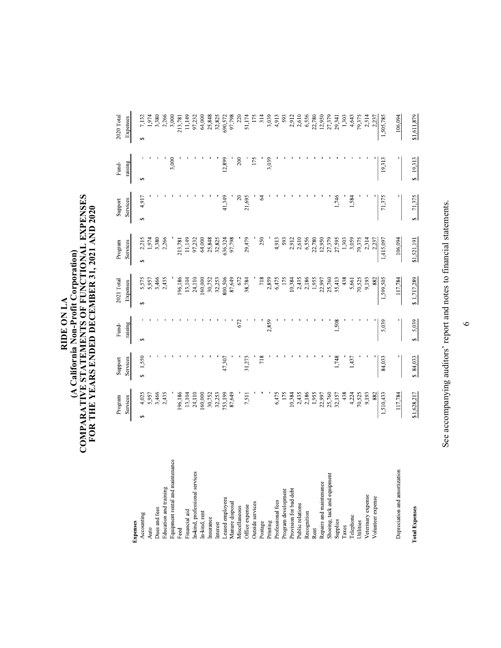|                                                 | Program<br>Services | Services<br>Support | raising<br>Fund | $2021$ Total<br>Expenses | Program<br>Services | Services<br>Support | raising<br>Fund- | 2020 Total<br>Expenses |
|-------------------------------------------------|---------------------|---------------------|-----------------|--------------------------|---------------------|---------------------|------------------|------------------------|
| <b>Expenses</b>                                 |                     |                     |                 |                          |                     |                     |                  |                        |
| Accounting                                      | 4,025<br>S          | 1,550<br>S          | s,              | 5,575<br>S               | 2,215<br>S          | 4,917<br>S          | ِص               | 7,132<br>÷,            |
| Auto                                            | 5,957               |                     |                 | 5,957                    | 1,974               |                     |                  | 1,974                  |
| Dues and fees                                   | 3,466               |                     |                 | 3,466                    | 3,380               |                     |                  | 3,380                  |
| Education and training                          | 2,435               |                     |                 | 2,435                    | 2,266               |                     |                  | 2,266                  |
| Equipment rental and maintenance                |                     |                     |                 |                          |                     |                     | 3,000            | 3,000                  |
| Feed                                            | 196,186             |                     |                 | 196,186                  | 213,781             |                     |                  | 213,781                |
| In-kind, professional services<br>Financial aid | 13,104<br>24,110    |                     |                 | 24,110<br>13,104         | 11,149<br>97,232    |                     |                  | 11,149<br>97,232       |
| In-kind, rent                                   | 160,000             |                     |                 | 160,000                  | 64,000              |                     |                  | 64,000                 |
| Insurance                                       | 30,752              |                     |                 | 30,752                   | 25,848              |                     |                  | 25,848                 |
| Interest                                        | 32,253              |                     |                 | 32,253                   | 32,825              |                     |                  | 32,825                 |
| Leased employees                                | 753,199             | 47,307              |                 | 800,506<br>87,649        | 636,324             | 41,349              | 12,899           |                        |
| Manure disposal                                 | 87,649              |                     |                 |                          | 97,798              |                     |                  | $690,572$<br>97,798    |
| Miscellaneous                                   |                     |                     | 672             | 672                      |                     | $\approx$           | 200              | 220                    |
| Office expense                                  | 7,511               | 31,273              |                 | 38,784                   | 29,479              | 21,695              |                  | 51,174                 |
| Outside services                                |                     |                     |                 |                          |                     |                     | 175              | 175                    |
| Postage                                         |                     | 718                 |                 | 718                      | 250                 | $\mathcal{L}$       |                  | 314                    |
| Printing                                        |                     |                     | 2,859           | 2,859                    |                     |                     | 3,039            | 3,039                  |
| Program development<br>Professional fees        | 6,475<br>175        |                     |                 | 6,475<br>175             | 593<br>4,913        |                     |                  | 4,913<br>593           |
| Provision for bad debt                          | 10,384              |                     |                 | 10,384                   | 2,912               |                     |                  | 2,912                  |
| Public relations                                | 2,435               |                     |                 | 2,435                    | 2,610               |                     |                  | 2,610                  |
| Recognition                                     | 2,186               |                     |                 | 2,186                    | 6,556               |                     |                  | 6,556                  |
| Rent                                            | 1,955               |                     |                 | 1,955                    | 22,780              |                     |                  | 22,780                 |
| Repairs and maintenance                         | 22,997              |                     |                 | 22,997                   | 12,950              |                     |                  | 12,950                 |
| Shoeing, tack and equipment                     | 25,760              |                     |                 | 25,760                   | 27,379              |                     |                  | 27,379<br>29,341       |
| Supplies                                        | 32,157              | 1,748               | 1,508           | 35,413                   | 27,595              | 1,746               |                  |                        |
| Taxes                                           | 438                 |                     |                 | 438                      | 1,303               |                     |                  | 1,303                  |
| Telephone                                       | 4,224               | 1,437               |                 | 5,661                    | 3,059               | 1,584               |                  | 4,643                  |
| Utilities                                       | 70,525              |                     |                 | 70,525                   | 79,375              |                     |                  | 79,375                 |
| Veterinary expense                              | 9,193               |                     |                 | 9,193                    | 2,314               |                     |                  | 2,314                  |
| Volunteer expense                               | 882                 |                     |                 | 882                      | 2,237               |                     |                  | 2,237                  |
|                                                 | 1,510,433           | 84,033              | 5,039           | 1,599,505                | 1,415,097           | 71,375              | 19,313           | 1,505,785              |
| Depreciation and amortization                   | 117,784             |                     |                 | 117,784                  | 106,094             |                     |                  | 106,094                |
| <b>Total Expenses</b>                           | \$1,628,217         | 84,033<br>s         | 5,039<br>ا⇔     | \$1,717,289              | \$1,521,191         | 71,375<br>S,        | 19,313<br>Ø      | \$1,611,879            |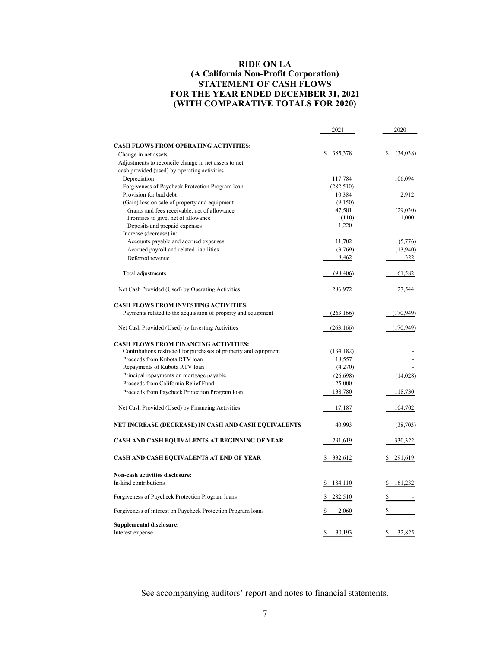## RIDE ON LA (A California Non-Profit Corporation) STATEMENT OF CASH FLOWS FOR THE YEAR ENDED DECEMBER 31, 2021 (WITH COMPARATIVE TOTALS FOR 2020)

|                                                                  | 2021          | 2020          |
|------------------------------------------------------------------|---------------|---------------|
| <b>CASH FLOWS FROM OPERATING ACTIVITIES:</b>                     |               |               |
| Change in net assets                                             | 385,378       | S<br>(34,038) |
| Adjustments to reconcile change in net assets to net             |               |               |
| cash provided (used) by operating activities                     |               |               |
| Depreciation                                                     | 117,784       | 106,094       |
| Forgiveness of Paycheck Protection Program loan                  | (282,510)     |               |
| Provision for bad debt                                           | 10,384        | 2,912         |
| (Gain) loss on sale of property and equipment                    | (9,150)       |               |
| Grants and fees receivable, net of allowance                     | 47,581        | (29,030)      |
| Promises to give, net of allowance                               | (110)         | 1,000         |
| Deposits and prepaid expenses                                    | 1,220         |               |
| Increase (decrease) in:                                          |               |               |
| Accounts payable and accrued expenses                            | 11,702        | (5,776)       |
| Accrued payroll and related liabilities                          | (3,769)       | (13,940)      |
| Deferred revenue                                                 | 8,462         | 322           |
| Total adjustments                                                | (98, 406)     | 61,582        |
| Net Cash Provided (Used) by Operating Activities                 | 286,972       | 27,544        |
| <b>CASH FLOWS FROM INVESTING ACTIVITIES:</b>                     |               |               |
| Payments related to the acquisition of property and equipment    | (263, 166)    | (170, 949)    |
| Net Cash Provided (Used) by Investing Activities                 | (263, 166)    | (170, 949)    |
| <b>CASH FLOWS FROM FINANCING ACTIVITIES:</b>                     |               |               |
| Contributions restricted for purchases of property and equipment | (134, 182)    |               |
| Proceeds from Kubota RTV loan                                    | 18,557        |               |
| Repayments of Kubota RTV loan                                    | (4,270)       |               |
| Principal repayments on mortgage payable                         | (26,698)      | (14,028)      |
| Proceeds from California Relief Fund                             | 25,000        |               |
| Proceeds from Paycheck Protection Program loan                   | 138,780       | 118,730       |
| Net Cash Provided (Used) by Financing Activities                 | 17,187        | 104,702       |
| NET INCREASE (DECREASE) IN CASH AND CASH EQUIVALENTS             | 40,993        | (38,703)      |
| CASH AND CASH EQUIVALENTS AT BEGINNING OF YEAR                   | 291,619       | 330,322       |
| CASH AND CASH EQUIVALENTS AT END OF YEAR                         | 332,612       | \$ 291,619    |
| <b>Non-cash activities disclosure:</b>                           |               |               |
| In-kind contributions                                            | 184,110       | 161,232       |
| Forgiveness of Paycheck Protection Program loans                 | 282,510<br>\$ | \$            |
|                                                                  |               |               |
| Forgiveness of interest on Paycheck Protection Program loans     | 2,060<br>S    | \$            |
| Supplemental disclosure:                                         |               |               |
| Interest expense                                                 | \$<br>30,193  | \$<br>32,825  |

See accompanying auditors' report and notes to financial statements.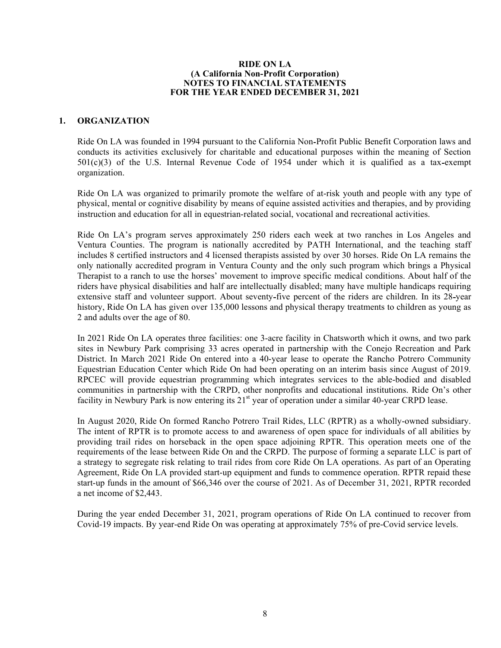# 1. ORGANIZATION

Ride On LA was founded in 1994 pursuant to the California Non Profit Public Benefit Corporation laws and conducts its activities exclusively for charitable and educational purposes within the meaning of Section  $501(c)(3)$  of the U.S. Internal Revenue Code of 1954 under which it is qualified as a tax-exempt organization.

Ride On LA was organized to primarily promote the welfare of at-risk youth and people with any type of physical, mental or cognitive disability by means of equine assisted activities and therapies, and by providing instruction and education for all in equestrian-related social, vocational and recreational activities.

Ride On LA's program serves approximately 250 riders each week at two ranches in Los Angeles and Ventura Counties. The program is nationally accredited by PATH International, and the teaching staff includes 8 certified instructors and 4 licensed therapists assisted by over 30 horses. Ride On LA remains the only nationally accredited program in Ventura County and the only such program which brings a Physical Therapist to a ranch to use the horses' movement to improve specific medical conditions. About half of the riders have physical disabilities and half are intellectually disabled; many have multiple handicaps requiring extensive staff and volunteer support. About seventy five percent of the riders are children. In its 28 year history, Ride On LA has given over 135,000 lessons and physical therapy treatments to children as young as 2 and adults over the age of 80.

In 2021 Ride On LA operates three facilities: one 3-acre facility in Chatsworth which it owns, and two park sites in Newbury Park comprising 33 acres operated in partnership with the Conejo Recreation and Park District. In March 2021 Ride On entered into a 40-year lease to operate the Rancho Potrero Community Equestrian Education Center which Ride On had been operating on an interim basis since August of 2019. RPCEC will provide equestrian programming which integrates services to the able-bodied and disabled communities in partnership with the CRPD, other nonprofits and educational institutions. Ride On's other facility in Newbury Park is now entering its  $21<sup>st</sup>$  year of operation under a similar 40-year CRPD lease.

In August 2020, Ride On formed Rancho Potrero Trail Rides, LLC (RPTR) as a wholly-owned subsidiary. The intent of RPTR is to promote access to and awareness of open space for individuals of all abilities by providing trail rides on horseback in the open space adjoining RPTR. This operation meets one of the requirements of the lease between Ride On and the CRPD. The purpose of forming a separate LLC is part of a strategy to segregate risk relating to trail rides from core Ride On LA operations. As part of an Operating Agreement, Ride On LA provided start-up equipment and funds to commence operation. RPTR repaid these start-up funds in the amount of \$66,346 over the course of 2021. As of December 31, 2021, RPTR recorded a net income of \$2,443.

During the year ended December 31, 2021, program operations of Ride On LA continued to recover from Covid-19 impacts. By year-end Ride On was operating at approximately 75% of pre-Covid service levels.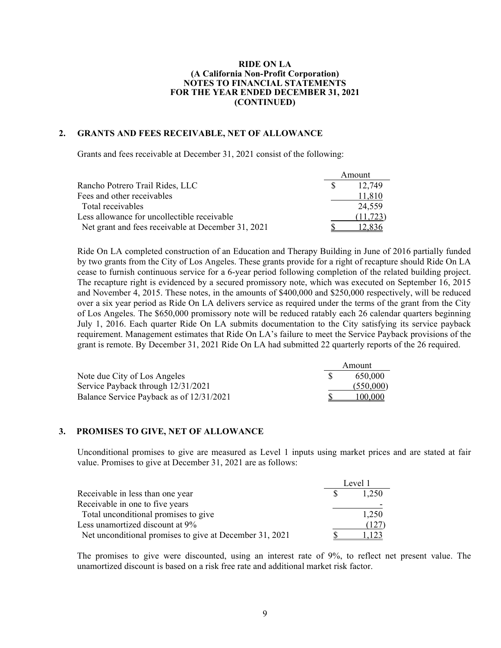#### 2. GRANTS AND FEES RECEIVABLE, NET OF ALLOWANCE

Grants and fees receivable at December 31, 2021 consist of the following:

|                                                    | Amount   |
|----------------------------------------------------|----------|
| Rancho Potrero Trail Rides, LLC                    | 12.749   |
| Fees and other receivables                         | 11,810   |
| Total receivables                                  | 24,559   |
| Less allowance for uncollectible receivable        | (11.723) |
| Net grant and fees receivable at December 31, 2021 |          |

Ride On LA completed construction of an Education and Therapy Building in June of 2016 partially funded by two grants from the City of Los Angeles. These grants provide for a right of recapture should Ride On LA cease to furnish continuous service for a 6-year period following completion of the related building project. The recapture right is evidenced by a secured promissory note, which was executed on September 16, 2015 and November 4, 2015. These notes, in the amounts of \$400,000 and \$250,000 respectively, will be reduced over a six year period as Ride On LA delivers service as required under the terms of the grant from the City of Los Angeles. The \$650,000 promissory note will be reduced ratably each 26 calendar quarters beginning July 1, 2016. Each quarter Ride On LA submits documentation to the City satisfying its service payback requirement. Management estimates that Ride On LA's failure to meet the Service Payback provisions of the grant is remote. By December 31, 2021 Ride On LA had submitted 22 quarterly reports of the 26 required.

|                                          | Amount    |
|------------------------------------------|-----------|
| Note due City of Los Angeles             | 650,000   |
| Service Payback through 12/31/2021       | (550,000) |
| Balance Service Payback as of 12/31/2021 | 100,000   |

# 3. PROMISES TO GIVE, NET OF ALLOWANCE

Unconditional promises to give are measured as Level 1 inputs using market prices and are stated at fair value. Promises to give at December 31, 2021 are as follows:

|                                                         | Level 1 |
|---------------------------------------------------------|---------|
| Receivable in less than one year                        | 1.250   |
| Receivable in one to five years                         |         |
| Total unconditional promises to give                    | 1.250   |
| Less unamortized discount at 9%                         |         |
| Net unconditional promises to give at December 31, 2021 |         |

The promises to give were discounted, using an interest rate of 9%, to reflect net present value. The unamortized discount is based on a risk free rate and additional market risk factor.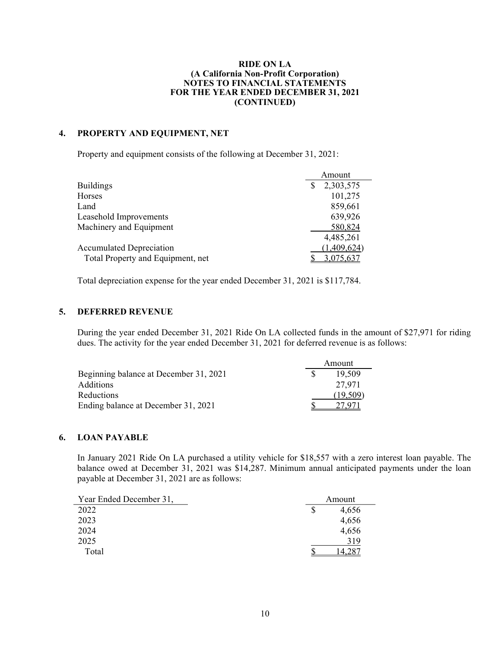# 4. PROPERTY AND EQUIPMENT, NET

Property and equipment consists of the following at December 31, 2021:

|                                   | Amount      |  |
|-----------------------------------|-------------|--|
| <b>Buildings</b>                  | 2,303,575   |  |
| Horses                            | 101,275     |  |
| Land                              | 859,661     |  |
| Leasehold Improvements            | 639,926     |  |
| Machinery and Equipment           | 580,824     |  |
|                                   | 4,485,261   |  |
| <b>Accumulated Depreciation</b>   | (1,409,624) |  |
| Total Property and Equipment, net | 3,075,637   |  |

Total depreciation expense for the year ended December 31, 2021 is \$117,784.

#### 5. DEFERRED REVENUE

During the year ended December 31, 2021 Ride On LA collected funds in the amount of \$27,971 for riding dues. The activity for the year ended December 31, 2021 for deferred revenue is as follows:

|                                        | Amount   |
|----------------------------------------|----------|
| Beginning balance at December 31, 2021 | 19,509   |
| <b>Additions</b>                       | 27.971   |
| <b>Reductions</b>                      | (19,509) |
| Ending balance at December 31, 2021    | 27.97    |

# 6. LOAN PAYABLE

 $\overline{a}$ 

In January 2021 Ride On LA purchased a utility vehicle for \$18,557 with a zero interest loan payable. The balance owed at December 31, 2021 was \$14,287. Minimum annual anticipated payments under the loan payable at December 31, 2021 are as follows:

| Year Ended December 31, | Amount |
|-------------------------|--------|
| 2022                    | 4,656  |
| 2023                    | 4,656  |
| 2024                    | 4,656  |
| 2025                    | 319    |
| Total                   |        |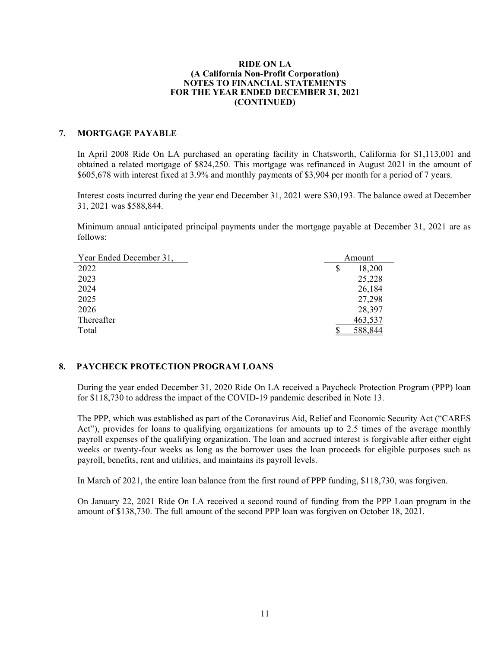# 7. MORTGAGE PAYABLE

In April 2008 Ride On LA purchased an operating facility in Chatsworth, California for \$1,113,001 and obtained a related mortgage of \$824,250. This mortgage was refinanced in August 2021 in the amount of \$605,678 with interest fixed at 3.9% and monthly payments of \$3,904 per month for a period of 7 years.

Interest costs incurred during the year end December 31, 2021 were \$30,193. The balance owed at December 31, 2021 was \$588,844.

Minimum annual anticipated principal payments under the mortgage payable at December 31, 2021 are as follows:

| Year Ended December 31, | Amount |         |
|-------------------------|--------|---------|
| 2022                    | \$     | 18,200  |
| 2023                    |        | 25,228  |
| 2024                    |        | 26,184  |
| 2025                    |        | 27,298  |
| 2026                    |        | 28,397  |
| Thereafter              |        | 463,537 |
| Total                   |        | 588,844 |

# 8. PAYCHECK PROTECTION PROGRAM LOANS

During the year ended December 31, 2020 Ride On LA received a Paycheck Protection Program (PPP) loan for \$118,730 to address the impact of the COVID-19 pandemic described in Note 13.

The PPP, which was established as part of the Coronavirus Aid, Relief and Economic Security Act ("CARES") Act"), provides for loans to qualifying organizations for amounts up to 2.5 times of the average monthly payroll expenses of the qualifying organization. The loan and accrued interest is forgivable after either eight weeks or twenty-four weeks as long as the borrower uses the loan proceeds for eligible purposes such as payroll, benefits, rent and utilities, and maintains its payroll levels.

In March of 2021, the entire loan balance from the first round of PPP funding, \$118,730, was forgiven.

On January 22, 2021 Ride On LA received a second round of funding from the PPP Loan program in the amount of \$138,730. The full amount of the second PPP loan was forgiven on October 18, 2021.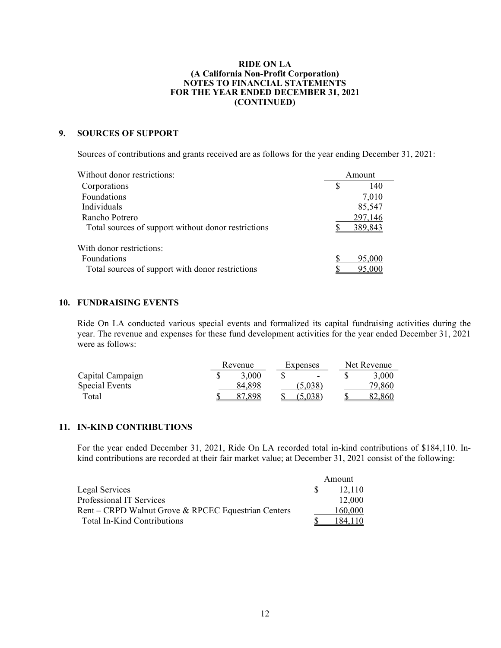# 9. SOURCES OF SUPPORT

Sources of contributions and grants received are as follows for the year ending December 31, 2021:

| Without donor restrictions:                         | Amount |         |
|-----------------------------------------------------|--------|---------|
| Corporations                                        | S      | 140     |
| Foundations                                         |        | 7,010   |
| Individuals                                         |        | 85,547  |
| Rancho Potrero                                      |        | 297,146 |
| Total sources of support without donor restrictions |        | 389,843 |
| With donor restrictions:                            |        |         |
| <b>Foundations</b>                                  |        | 95,000  |
| Total sources of support with donor restrictions    |        |         |

#### 10. FUNDRAISING EVENTS

Ride On LA conducted various special events and formalized its capital fundraising activities during the year. The revenue and expenses for these fund development activities for the year ended December 31, 2021 were as follows:

|                  | Revenue | <b>Expenses</b>          | Net Revenue |
|------------------|---------|--------------------------|-------------|
| Capital Campaign | 3.000   | $\overline{\phantom{0}}$ | 3,000       |
| Special Events   | 84.898  | 5.038                    | 79.860      |
| Total            | 87.898  | 5.038)                   | -860        |

#### 11. IN-KIND CONTRIBUTIONS

For the year ended December 31, 2021, Ride On LA recorded total in-kind contributions of \$184,110. Inkind contributions are recorded at their fair market value; at December 31, 2021 consist of the following:

|                                                     | Amount  |
|-----------------------------------------------------|---------|
| Legal Services                                      | 12,110  |
| Professional IT Services                            | 12,000  |
| Rent – CRPD Walnut Grove & RPCEC Equestrian Centers | 160,000 |
| Total In-Kind Contributions                         | 184.110 |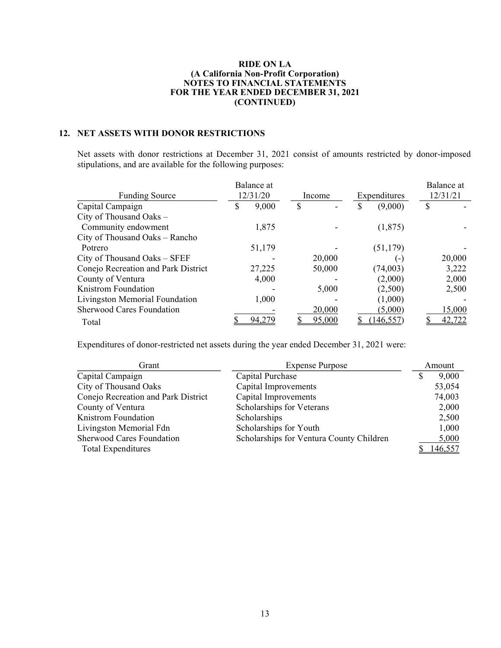# 12. NET ASSETS WITH DONOR RESTRICTIONS

Net assets with donor restrictions at December 31, 2021 consist of amounts restricted by donor-imposed stipulations, and are available for the following purposes:

|                                     | Balance at  |        |               | Balance at |
|-------------------------------------|-------------|--------|---------------|------------|
| <b>Funding Source</b>               | 12/31/20    | Income | Expenditures  | 12/31/21   |
| Capital Campaign                    | 9,000<br>\$ | \$     | \$<br>(9,000) | \$         |
| City of Thousand Oaks -             |             |        |               |            |
| Community endowment                 | 1,875       |        | (1,875)       |            |
| City of Thousand Oaks - Rancho      |             |        |               |            |
| Potrero                             | 51,179      |        | (51, 179)     |            |
| City of Thousand Oaks - SFEF        |             | 20,000 | ( – )         | 20,000     |
| Conejo Recreation and Park District | 27,225      | 50,000 | (74,003)      | 3,222      |
| County of Ventura                   | 4,000       |        | (2,000)       | 2,000      |
| Knistrom Foundation                 |             | 5,000  | (2,500)       | 2,500      |
| Livingston Memorial Foundation      | 1,000       |        | (1,000)       |            |
| <b>Sherwood Cares Foundation</b>    |             | 20,000 | (5,000)       | 15,000     |
| Total                               | 94,279      | 95,000 | 146,557       | 42,722     |

Expenditures of donor-restricted net assets during the year ended December 31, 2021 were:

| Grant                               | <b>Expense Purpose</b>                   |   | Amount         |
|-------------------------------------|------------------------------------------|---|----------------|
| Capital Campaign                    | Capital Purchase                         | S | 9,000          |
| City of Thousand Oaks               | Capital Improvements                     |   | 53,054         |
| Conejo Recreation and Park District | Capital Improvements                     |   | 74,003         |
| County of Ventura                   | Scholarships for Veterans                |   | 2,000          |
| Knistrom Foundation                 | Scholarships                             |   | 2,500          |
| Livingston Memorial Fdn             | Scholarships for Youth                   |   | 1,000          |
| <b>Sherwood Cares Foundation</b>    | Scholarships for Ventura County Children |   | 5,000          |
| <b>Total Expenditures</b>           |                                          |   | <u>146,557</u> |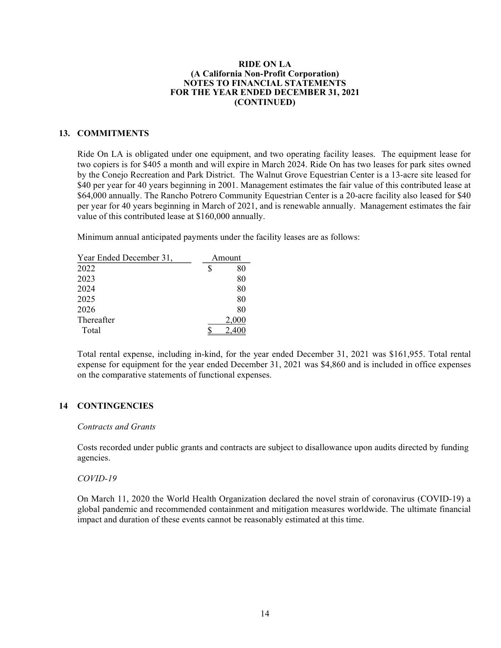# 13. COMMITMENTS

Ride On LA is obligated under one equipment, and two operating facility leases. The equipment lease for two copiers is for \$405 a month and will expire in March 2024. Ride On has two leases for park sites owned by the Conejo Recreation and Park District. The Walnut Grove Equestrian Center is a 13-acre site leased for \$40 per year for 40 years beginning in 2001. Management estimates the fair value of this contributed lease at \$64,000 annually. The Rancho Potrero Community Equestrian Center is a 20-acre facility also leased for \$40 per year for 40 years beginning in March of 2021, and is renewable annually. Management estimates the fair value of this contributed lease at \$160,000 annually.

Minimum annual anticipated payments under the facility leases are as follows:

| Year Ended December 31, | Amount |       |
|-------------------------|--------|-------|
| 2022                    |        | 80    |
| 2023                    |        | 80    |
| 2024                    |        | 80    |
| 2025                    |        | 80    |
| 2026                    |        | 80    |
| Thereafter              |        | 2,000 |
| Total                   |        | 2,400 |

Total rental expense, including in-kind, for the year ended December 31, 2021 was \$161,955. Total rental expense for equipment for the year ended December 31, 2021 was \$4,860 and is included in office expenses on the comparative statements of functional expenses.

# 14 CONTINGENCIES

#### Contracts and Grants

Costs recorded under public grants and contracts are subject to disallowance upon audits directed by funding agencies.

#### COVID-19

On March 11, 2020 the World Health Organization declared the novel strain of coronavirus (COVID-19) a global pandemic and recommended containment and mitigation measures worldwide. The ultimate financial impact and duration of these events cannot be reasonably estimated at this time.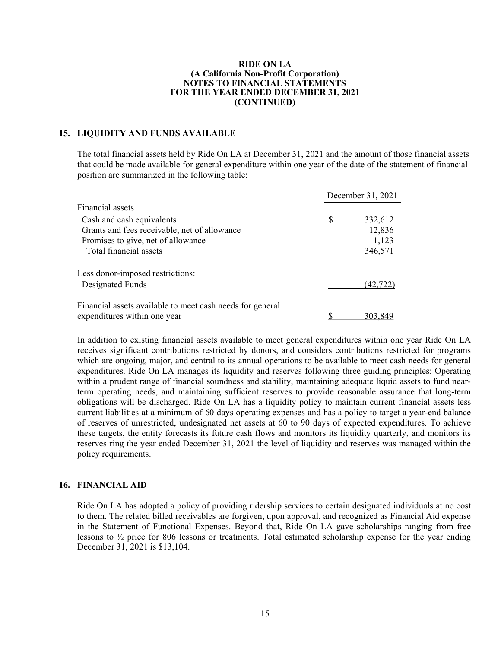#### 15. LIQUIDITY AND FUNDS AVAILABLE

The total financial assets held by Ride On LA at December 31, 2021 and the amount of those financial assets that could be made available for general expenditure within one year of the date of the statement of financial position are summarized in the following table:

|                                                           |   | December 31, 2021 |
|-----------------------------------------------------------|---|-------------------|
| Financial assets                                          |   |                   |
| Cash and cash equivalents                                 | S | 332,612           |
| Grants and fees receivable, net of allowance              |   | 12,836            |
| Promises to give, net of allowance                        |   | 1,123             |
| Total financial assets                                    |   | 346,571           |
| Less donor-imposed restrictions:                          |   |                   |
| Designated Funds                                          |   | (42,722)          |
| Financial assets available to meet cash needs for general |   |                   |
| expenditures within one year                              |   | 303.849           |

In addition to existing financial assets available to meet general expenditures within one year Ride On LA receives significant contributions restricted by donors, and considers contributions restricted for programs which are ongoing, major, and central to its annual operations to be available to meet cash needs for general expenditures. Ride On LA manages its liquidity and reserves following three guiding principles: Operating within a prudent range of financial soundness and stability, maintaining adequate liquid assets to fund nearterm operating needs, and maintaining sufficient reserves to provide reasonable assurance that long-term obligations will be discharged. Ride On LA has a liquidity policy to maintain current financial assets less current liabilities at a minimum of 60 days operating expenses and has a policy to target a year-end balance of reserves of unrestricted, undesignated net assets at 60 to 90 days of expected expenditures. To achieve these targets, the entity forecasts its future cash flows and monitors its liquidity quarterly, and monitors its reserves ring the year ended December 31, 2021 the level of liquidity and reserves was managed within the policy requirements.

#### 16. FINANCIAL AID

Ride On LA has adopted a policy of providing ridership services to certain designated individuals at no cost to them. The related billed receivables are forgiven, upon approval, and recognized as Financial Aid expense in the Statement of Functional Expenses. Beyond that, Ride On LA gave scholarships ranging from free lessons to ½ price for 806 lessons or treatments. Total estimated scholarship expense for the year ending December 31, 2021 is \$13,104.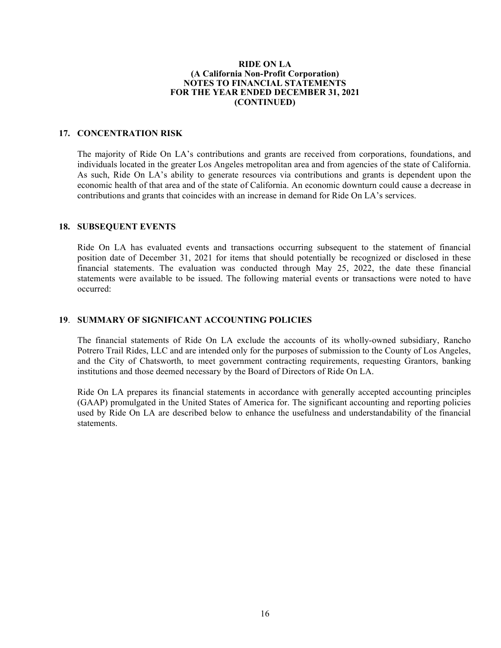#### 17. CONCENTRATION RISK

The majority of Ride On LA's contributions and grants are received from corporations, foundations, and individuals located in the greater Los Angeles metropolitan area and from agencies of the state of California. As such, Ride On LA's ability to generate resources via contributions and grants is dependent upon the economic health of that area and of the state of California. An economic downturn could cause a decrease in contributions and grants that coincides with an increase in demand for Ride On LA's services.

#### 18. SUBSEQUENT EVENTS

Ride On LA has evaluated events and transactions occurring subsequent to the statement of financial position date of December 31, 2021 for items that should potentially be recognized or disclosed in these financial statements. The evaluation was conducted through May 25, 2022, the date these financial statements were available to be issued. The following material events or transactions were noted to have occurred:

#### 19. SUMMARY OF SIGNIFICANT ACCOUNTING POLICIES

The financial statements of Ride On LA exclude the accounts of its wholly-owned subsidiary, Rancho Potrero Trail Rides, LLC and are intended only for the purposes of submission to the County of Los Angeles, and the City of Chatsworth, to meet government contracting requirements, requesting Grantors, banking institutions and those deemed necessary by the Board of Directors of Ride On LA.

Ride On LA prepares its financial statements in accordance with generally accepted accounting principles (GAAP) promulgated in the United States of America for. The significant accounting and reporting policies used by Ride On LA are described below to enhance the usefulness and understandability of the financial statements.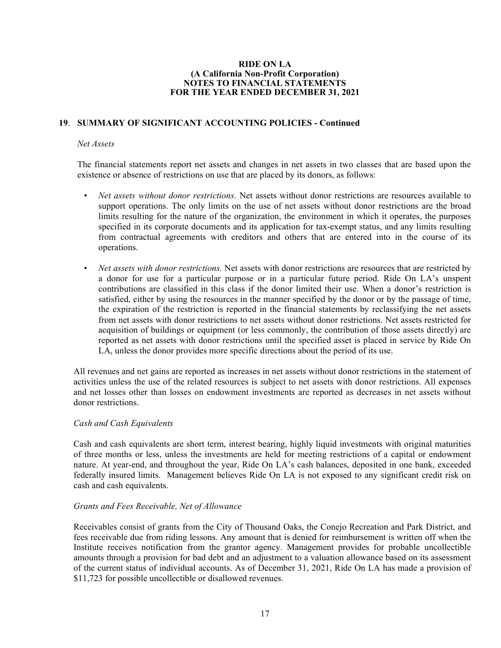# 19. SUMMARY OF SIGNIFICANT ACCOUNTING POLICIES - Continued

#### Net Assets

The financial statements report net assets and changes in net assets in two classes that are based upon the existence or absence of restrictions on use that are placed by its donors, as follows:

- Net assets without donor restrictions. Net assets without donor restrictions are resources available to support operations. The only limits on the use of net assets without donor restrictions are the broad limits resulting for the nature of the organization, the environment in which it operates, the purposes specified in its corporate documents and its application for tax-exempt status, and any limits resulting from contractual agreements with creditors and others that are entered into in the course of its operations.
- Net assets with donor restrictions. Net assets with donor restrictions are resources that are restricted by a donor for use for a particular purpose or in a particular future period. Ride On LA's unspent contributions are classified in this class if the donor limited their use. When a donor's restriction is satisfied, either by using the resources in the manner specified by the donor or by the passage of time, the expiration of the restriction is reported in the financial statements by reclassifying the net assets from net assets with donor restrictions to net assets without donor restrictions. Net assets restricted for acquisition of buildings or equipment (or less commonly, the contribution of those assets directly) are reported as net assets with donor restrictions until the specified asset is placed in service by Ride On LA, unless the donor provides more specific directions about the period of its use.

All revenues and net gains are reported as increases in net assets without donor restrictions in the statement of activities unless the use of the related resources is subject to net assets with donor restrictions. All expenses and net losses other than losses on endowment investments are reported as decreases in net assets without donor restrictions.

# Cash and Cash Equivalents

Cash and cash equivalents are short term, interest bearing, highly liquid investments with original maturities of three months or less, unless the investments are held for meeting restrictions of a capital or endowment nature. At year-end, and throughout the year, Ride On LA's cash balances, deposited in one bank, exceeded federally insured limits. Management believes Ride On LA is not exposed to any significant credit risk on cash and cash equivalents.

#### Grants and Fees Receivable, Net of Allowance

Receivables consist of grants from the City of Thousand Oaks, the Conejo Recreation and Park District, and fees receivable due from riding lessons. Any amount that is denied for reimbursement is written off when the Institute receives notification from the grantor agency. Management provides for probable uncollectible amounts through a provision for bad debt and an adjustment to a valuation allowance based on its assessment of the current status of individual accounts. As of December 31, 2021, Ride On LA has made a provision of \$11,723 for possible uncollectible or disallowed revenues.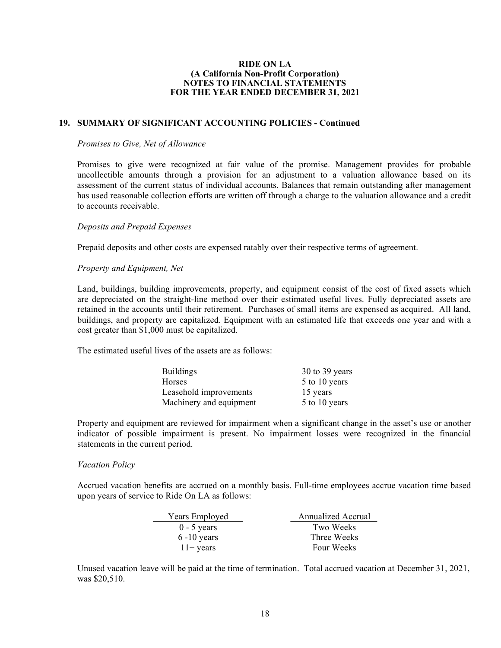#### 19. SUMMARY OF SIGNIFICANT ACCOUNTING POLICIES - Continued

#### Promises to Give, Net of Allowance

Promises to give were recognized at fair value of the promise. Management provides for probable uncollectible amounts through a provision for an adjustment to a valuation allowance based on its assessment of the current status of individual accounts. Balances that remain outstanding after management has used reasonable collection efforts are written off through a charge to the valuation allowance and a credit to accounts receivable.

#### Deposits and Prepaid Expenses

Prepaid deposits and other costs are expensed ratably over their respective terms of agreement.

#### Property and Equipment, Net

Land, buildings, building improvements, property, and equipment consist of the cost of fixed assets which are depreciated on the straight-line method over their estimated useful lives. Fully depreciated assets are retained in the accounts until their retirement. Purchases of small items are expensed as acquired. All land, buildings, and property are capitalized. Equipment with an estimated life that exceeds one year and with a cost greater than \$1,000 must be capitalized.

The estimated useful lives of the assets are as follows:

| <b>Buildings</b>        | $30$ to $39$ years |
|-------------------------|--------------------|
| <b>Horses</b>           | 5 to 10 years      |
| Leasehold improvements  | 15 years           |
| Machinery and equipment | 5 to 10 years      |

Property and equipment are reviewed for impairment when a significant change in the asset's use or another indicator of possible impairment is present. No impairment losses were recognized in the financial statements in the current period.

#### Vacation Policy

Accrued vacation benefits are accrued on a monthly basis. Full-time employees accrue vacation time based upon years of service to Ride On LA as follows:

| Years Employed | Annualized Accrual |
|----------------|--------------------|
| $0 - 5$ years  | Two Weeks          |
| $6 - 10$ years | Three Weeks        |
| $11+$ years    | <b>Four Weeks</b>  |

Unused vacation leave will be paid at the time of termination. Total accrued vacation at December 31, 2021, was \$20,510.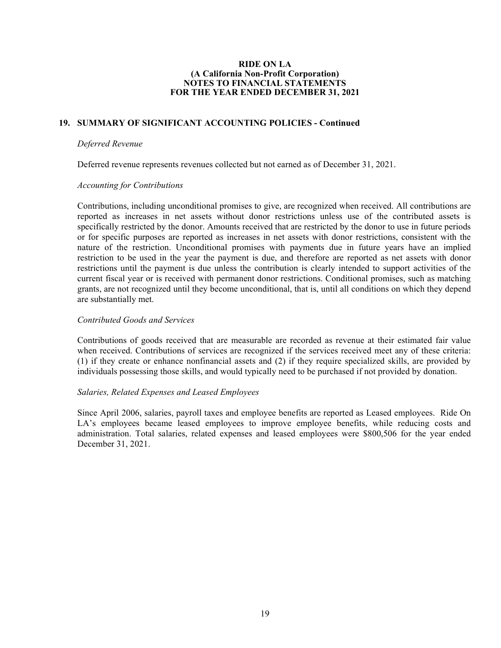# 19. SUMMARY OF SIGNIFICANT ACCOUNTING POLICIES - Continued

#### Deferred Revenue

Deferred revenue represents revenues collected but not earned as of December 31, 2021.

#### Accounting for Contributions

Contributions, including unconditional promises to give, are recognized when received. All contributions are reported as increases in net assets without donor restrictions unless use of the contributed assets is specifically restricted by the donor. Amounts received that are restricted by the donor to use in future periods or for specific purposes are reported as increases in net assets with donor restrictions, consistent with the nature of the restriction. Unconditional promises with payments due in future years have an implied restriction to be used in the year the payment is due, and therefore are reported as net assets with donor restrictions until the payment is due unless the contribution is clearly intended to support activities of the current fiscal year or is received with permanent donor restrictions. Conditional promises, such as matching grants, are not recognized until they become unconditional, that is, until all conditions on which they depend are substantially met.

## Contributed Goods and Services

Contributions of goods received that are measurable are recorded as revenue at their estimated fair value when received. Contributions of services are recognized if the services received meet any of these criteria: (1) if they create or enhance nonfinancial assets and (2) if they require specialized skills, are provided by individuals possessing those skills, and would typically need to be purchased if not provided by donation.

# Salaries, Related Expenses and Leased Employees

Since April 2006, salaries, payroll taxes and employee benefits are reported as Leased employees. Ride On LA's employees became leased employees to improve employee benefits, while reducing costs and administration. Total salaries, related expenses and leased employees were \$800,506 for the year ended December 31, 2021.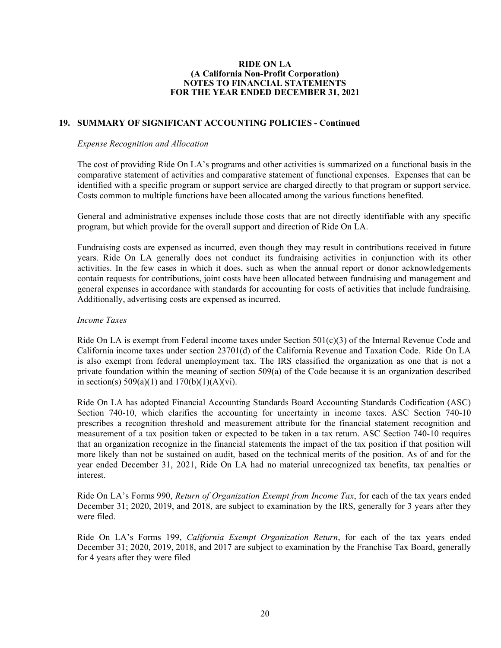#### 19. SUMMARY OF SIGNIFICANT ACCOUNTING POLICIES - Continued

#### Expense Recognition and Allocation

The cost of providing Ride On LA's programs and other activities is summarized on a functional basis in the comparative statement of activities and comparative statement of functional expenses. Expenses that can be identified with a specific program or support service are charged directly to that program or support service. Costs common to multiple functions have been allocated among the various functions benefited.

General and administrative expenses include those costs that are not directly identifiable with any specific program, but which provide for the overall support and direction of Ride On LA.

Fundraising costs are expensed as incurred, even though they may result in contributions received in future years. Ride On LA generally does not conduct its fundraising activities in conjunction with its other activities. In the few cases in which it does, such as when the annual report or donor acknowledgements contain requests for contributions, joint costs have been allocated between fundraising and management and general expenses in accordance with standards for accounting for costs of activities that include fundraising. Additionally, advertising costs are expensed as incurred.

#### Income Taxes

Ride On LA is exempt from Federal income taxes under Section  $501(c)(3)$  of the Internal Revenue Code and California income taxes under section 23701(d) of the California Revenue and Taxation Code. Ride On LA is also exempt from federal unemployment tax. The IRS classified the organization as one that is not a private foundation within the meaning of section 509(a) of the Code because it is an organization described in section(s)  $509(a)(1)$  and  $170(b)(1)(A)(vi)$ .

Ride On LA has adopted Financial Accounting Standards Board Accounting Standards Codification (ASC) Section 740-10, which clarifies the accounting for uncertainty in income taxes. ASC Section 740-10 prescribes a recognition threshold and measurement attribute for the financial statement recognition and measurement of a tax position taken or expected to be taken in a tax return. ASC Section 740-10 requires that an organization recognize in the financial statements the impact of the tax position if that position will more likely than not be sustained on audit, based on the technical merits of the position. As of and for the year ended December 31, 2021, Ride On LA had no material unrecognized tax benefits, tax penalties or interest.

Ride On LA's Forms 990, Return of Organization Exempt from Income Tax, for each of the tax years ended December 31; 2020, 2019, and 2018, are subject to examination by the IRS, generally for 3 years after they were filed.

Ride On LA's Forms 199, California Exempt Organization Return, for each of the tax years ended December 31; 2020, 2019, 2018, and 2017 are subject to examination by the Franchise Tax Board, generally for 4 years after they were filed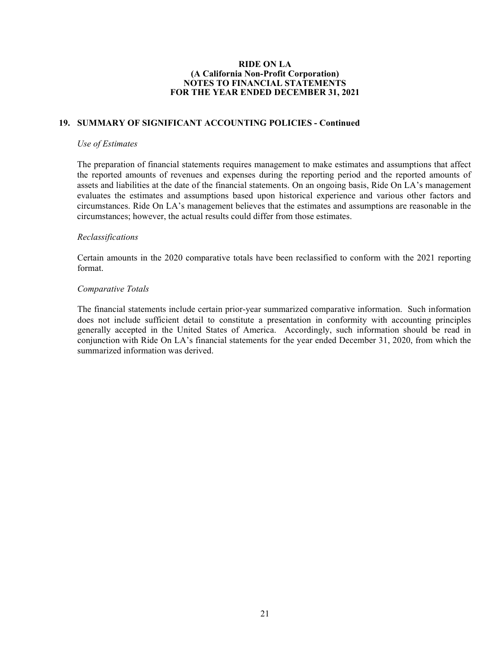# 19. SUMMARY OF SIGNIFICANT ACCOUNTING POLICIES - Continued

#### Use of Estimates

The preparation of financial statements requires management to make estimates and assumptions that affect the reported amounts of revenues and expenses during the reporting period and the reported amounts of assets and liabilities at the date of the financial statements. On an ongoing basis, Ride On LA's management evaluates the estimates and assumptions based upon historical experience and various other factors and circumstances. Ride On LA's management believes that the estimates and assumptions are reasonable in the circumstances; however, the actual results could differ from those estimates.

#### Reclassifications

Certain amounts in the 2020 comparative totals have been reclassified to conform with the 2021 reporting format.

#### Comparative Totals

The financial statements include certain prior-year summarized comparative information. Such information does not include sufficient detail to constitute a presentation in conformity with accounting principles generally accepted in the United States of America. Accordingly, such information should be read in conjunction with Ride On LA's financial statements for the year ended December 31, 2020, from which the summarized information was derived.